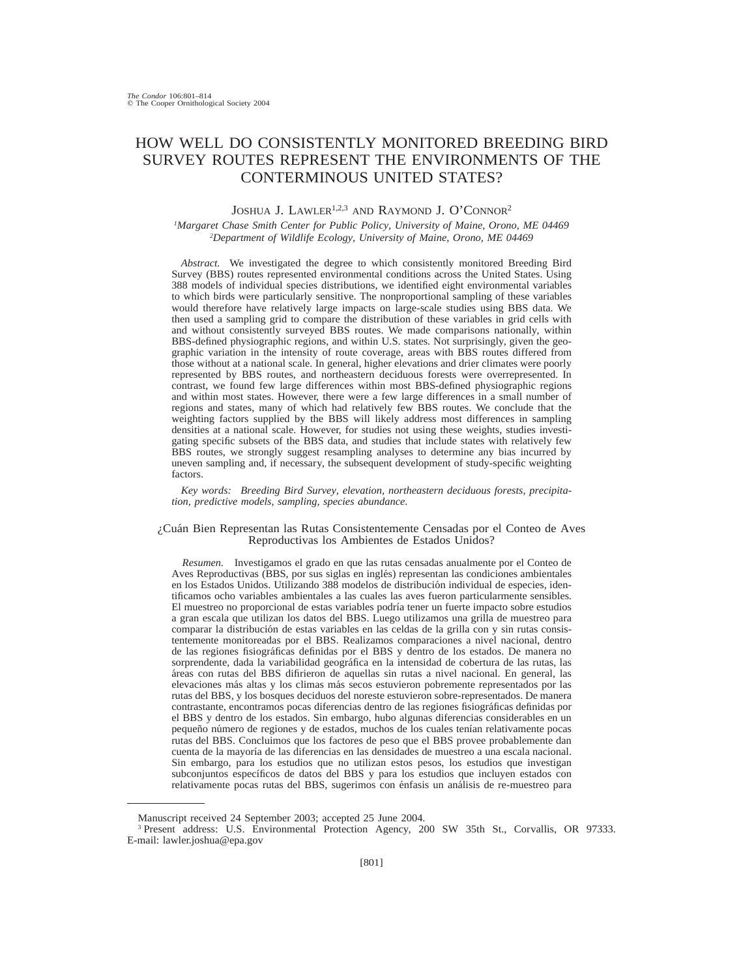# HOW WELL DO CONSISTENTLY MONITORED BREEDING BIRD SURVEY ROUTES REPRESENT THE ENVIRONMENTS OF THE CONTERMINOUS UNITED STATES?

### JOSHUA J. LAWLER<sup>1,2,3</sup> AND RAYMOND J. O'CONNOR<sup>2</sup>

*1Margaret Chase Smith Center for Public Policy, University of Maine, Orono, ME 04469 2Department of Wildlife Ecology, University of Maine, Orono, ME 04469*

*Abstract.* We investigated the degree to which consistently monitored Breeding Bird Survey (BBS) routes represented environmental conditions across the United States. Using 388 models of individual species distributions, we identified eight environmental variables to which birds were particularly sensitive. The nonproportional sampling of these variables would therefore have relatively large impacts on large-scale studies using BBS data. We then used a sampling grid to compare the distribution of these variables in grid cells with and without consistently surveyed BBS routes. We made comparisons nationally, within BBS-defined physiographic regions, and within U.S. states. Not surprisingly, given the geographic variation in the intensity of route coverage, areas with BBS routes differed from those without at a national scale. In general, higher elevations and drier climates were poorly represented by BBS routes, and northeastern deciduous forests were overrepresented. In contrast, we found few large differences within most BBS-defined physiographic regions and within most states. However, there were a few large differences in a small number of regions and states, many of which had relatively few BBS routes. We conclude that the weighting factors supplied by the BBS will likely address most differences in sampling densities at a national scale. However, for studies not using these weights, studies investigating specific subsets of the BBS data, and studies that include states with relatively few BBS routes, we strongly suggest resampling analyses to determine any bias incurred by uneven sampling and, if necessary, the subsequent development of study-specific weighting factors.

*Key words: Breeding Bird Survey, elevation, northeastern deciduous forests, precipitation, predictive models, sampling, species abundance.*

#### ¿Cua´n Bien Representan las Rutas Consistentemente Censadas por el Conteo de Aves Reproductivas los Ambientes de Estados Unidos?

*Resumen.* Investigamos el grado en que las rutas censadas anualmente por el Conteo de Aves Reproductivas (BBS, por sus siglas en inglés) representan las condiciones ambientales en los Estados Unidos. Utilizando 388 modelos de distribución individual de especies, identificamos ocho variables ambientales a las cuales las aves fueron particularmente sensibles. El muestreo no proporcional de estas variables podría tener un fuerte impacto sobre estudios a gran escala que utilizan los datos del BBS. Luego utilizamos una grilla de muestreo para comparar la distribución de estas variables en las celdas de la grilla con y sin rutas consistentemente monitoreadas por el BBS. Realizamos comparaciones a nivel nacional, dentro de las regiones fisiogra´ficas definidas por el BBS y dentro de los estados. De manera no sorprendente, dada la variabilidad geográfica en la intensidad de cobertura de las rutas, las áreas con rutas del BBS difirieron de aquellas sin rutas a nivel nacional. En general, las elevaciones más altas y los climas más secos estuvieron pobremente representados por las rutas del BBS, y los bosques deciduos del noreste estuvieron sobre-representados. De manera contrastante, encontramos pocas diferencias dentro de las regiones fisiogra´ficas definidas por el BBS y dentro de los estados. Sin embargo, hubo algunas diferencias considerables en un pequeño número de regiones y de estados, muchos de los cuales tenían relativamente pocas rutas del BBS. Concluimos que los factores de peso que el BBS provee probablemente dan cuenta de la mayoría de las diferencias en las densidades de muestreo a una escala nacional. Sin embargo, para los estudios que no utilizan estos pesos, los estudios que investigan subconjuntos específicos de datos del BBS y para los estudios que incluyen estados con relativamente pocas rutas del BBS, sugerimos con énfasis un análisis de re-muestreo para

Manuscript received 24 September 2003; accepted 25 June 2004.

<sup>&</sup>lt;sup>3</sup> Present address: U.S. Environmental Protection Agency, 200 SW 35th St., Corvallis, OR 97333. E-mail: lawler.joshua@epa.gov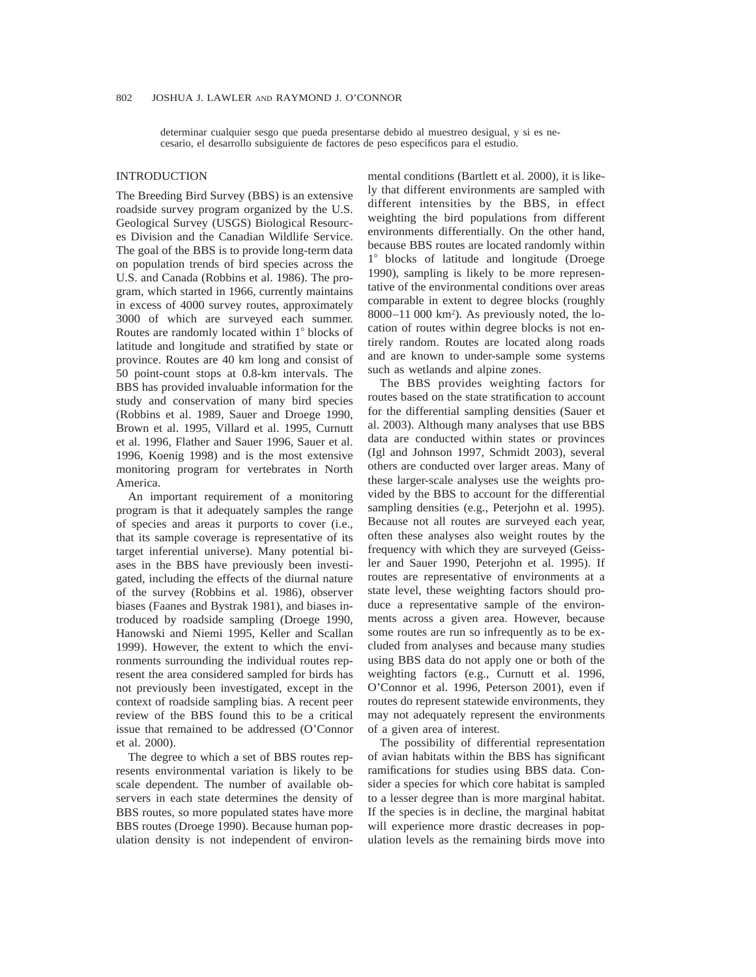determinar cualquier sesgo que pueda presentarse debido al muestreo desigual, y si es necesario, el desarrollo subsiguiente de factores de peso específicos para el estudio.

# INTRODUCTION

The Breeding Bird Survey (BBS) is an extensive roadside survey program organized by the U.S. Geological Survey (USGS) Biological Resources Division and the Canadian Wildlife Service. The goal of the BBS is to provide long-term data on population trends of bird species across the U.S. and Canada (Robbins et al. 1986). The program, which started in 1966, currently maintains in excess of 4000 survey routes, approximately 3000 of which are surveyed each summer. Routes are randomly located within  $1^\circ$  blocks of latitude and longitude and stratified by state or province. Routes are 40 km long and consist of 50 point-count stops at 0.8-km intervals. The BBS has provided invaluable information for the study and conservation of many bird species (Robbins et al. 1989, Sauer and Droege 1990, Brown et al. 1995, Villard et al. 1995, Curnutt et al. 1996, Flather and Sauer 1996, Sauer et al. 1996, Koenig 1998) and is the most extensive monitoring program for vertebrates in North America.

An important requirement of a monitoring program is that it adequately samples the range of species and areas it purports to cover (i.e., that its sample coverage is representative of its target inferential universe). Many potential biases in the BBS have previously been investigated, including the effects of the diurnal nature of the survey (Robbins et al. 1986), observer biases (Faanes and Bystrak 1981), and biases introduced by roadside sampling (Droege 1990, Hanowski and Niemi 1995, Keller and Scallan 1999). However, the extent to which the environments surrounding the individual routes represent the area considered sampled for birds has not previously been investigated, except in the context of roadside sampling bias. A recent peer review of the BBS found this to be a critical issue that remained to be addressed (O'Connor et al. 2000).

The degree to which a set of BBS routes represents environmental variation is likely to be scale dependent. The number of available observers in each state determines the density of BBS routes, so more populated states have more BBS routes (Droege 1990). Because human population density is not independent of environmental conditions (Bartlett et al. 2000), it is likely that different environments are sampled with different intensities by the BBS, in effect weighting the bird populations from different environments differentially. On the other hand, because BBS routes are located randomly within 1° blocks of latitude and longitude (Droege 1990), sampling is likely to be more representative of the environmental conditions over areas comparable in extent to degree blocks (roughly 8000–11 000 km2). As previously noted, the location of routes within degree blocks is not entirely random. Routes are located along roads and are known to under-sample some systems such as wetlands and alpine zones.

The BBS provides weighting factors for routes based on the state stratification to account for the differential sampling densities (Sauer et al. 2003). Although many analyses that use BBS data are conducted within states or provinces (Igl and Johnson 1997, Schmidt 2003), several others are conducted over larger areas. Many of these larger-scale analyses use the weights provided by the BBS to account for the differential sampling densities (e.g., Peterjohn et al. 1995). Because not all routes are surveyed each year, often these analyses also weight routes by the frequency with which they are surveyed (Geissler and Sauer 1990, Peterjohn et al. 1995). If routes are representative of environments at a state level, these weighting factors should produce a representative sample of the environments across a given area. However, because some routes are run so infrequently as to be excluded from analyses and because many studies using BBS data do not apply one or both of the weighting factors (e.g., Curnutt et al. 1996, O'Connor et al. 1996, Peterson 2001), even if routes do represent statewide environments, they may not adequately represent the environments of a given area of interest.

The possibility of differential representation of avian habitats within the BBS has significant ramifications for studies using BBS data. Consider a species for which core habitat is sampled to a lesser degree than is more marginal habitat. If the species is in decline, the marginal habitat will experience more drastic decreases in population levels as the remaining birds move into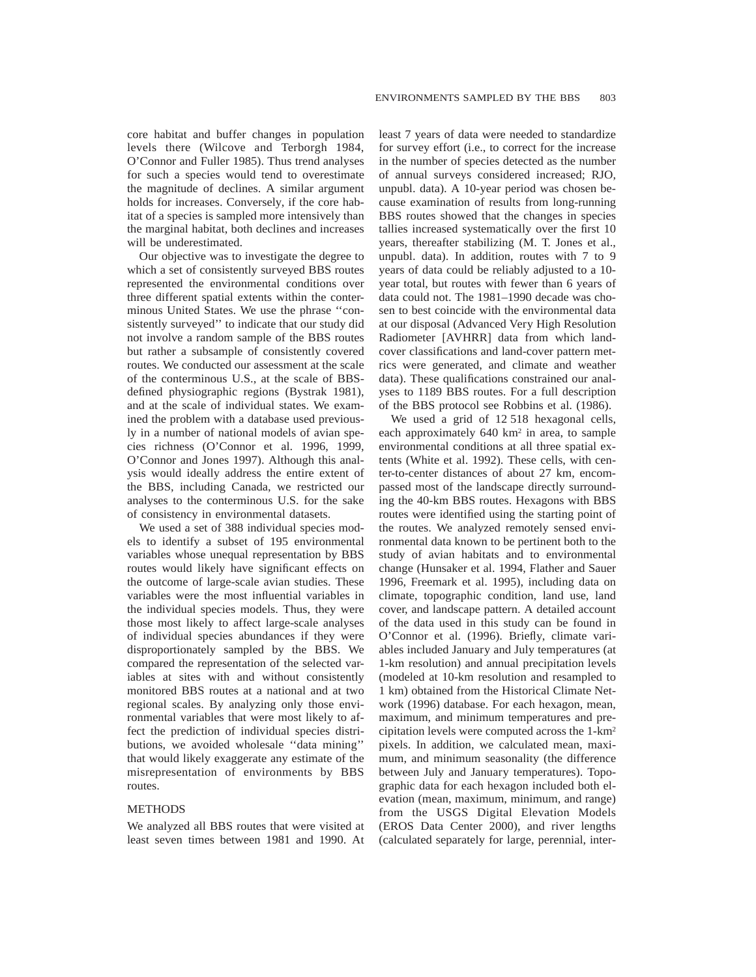core habitat and buffer changes in population levels there (Wilcove and Terborgh 1984, O'Connor and Fuller 1985). Thus trend analyses for such a species would tend to overestimate the magnitude of declines. A similar argument holds for increases. Conversely, if the core habitat of a species is sampled more intensively than the marginal habitat, both declines and increases will be underestimated.

Our objective was to investigate the degree to which a set of consistently surveyed BBS routes represented the environmental conditions over three different spatial extents within the conterminous United States. We use the phrase ''consistently surveyed'' to indicate that our study did not involve a random sample of the BBS routes but rather a subsample of consistently covered routes. We conducted our assessment at the scale of the conterminous U.S., at the scale of BBSdefined physiographic regions (Bystrak 1981), and at the scale of individual states. We examined the problem with a database used previously in a number of national models of avian species richness (O'Connor et al. 1996, 1999, O'Connor and Jones 1997). Although this analysis would ideally address the entire extent of the BBS, including Canada, we restricted our analyses to the conterminous U.S. for the sake of consistency in environmental datasets.

We used a set of 388 individual species models to identify a subset of 195 environmental variables whose unequal representation by BBS routes would likely have significant effects on the outcome of large-scale avian studies. These variables were the most influential variables in the individual species models. Thus, they were those most likely to affect large-scale analyses of individual species abundances if they were disproportionately sampled by the BBS. We compared the representation of the selected variables at sites with and without consistently monitored BBS routes at a national and at two regional scales. By analyzing only those environmental variables that were most likely to affect the prediction of individual species distributions, we avoided wholesale ''data mining'' that would likely exaggerate any estimate of the misrepresentation of environments by BBS routes.

# **METHODS**

We analyzed all BBS routes that were visited at least seven times between 1981 and 1990. At least 7 years of data were needed to standardize for survey effort (i.e., to correct for the increase in the number of species detected as the number of annual surveys considered increased; RJO, unpubl. data). A 10-year period was chosen because examination of results from long-running BBS routes showed that the changes in species tallies increased systematically over the first 10 years, thereafter stabilizing (M. T. Jones et al., unpubl. data). In addition, routes with 7 to 9 years of data could be reliably adjusted to a 10 year total, but routes with fewer than 6 years of data could not. The 1981–1990 decade was chosen to best coincide with the environmental data at our disposal (Advanced Very High Resolution Radiometer [AVHRR] data from which landcover classifications and land-cover pattern metrics were generated, and climate and weather data). These qualifications constrained our analyses to 1189 BBS routes. For a full description of the BBS protocol see Robbins et al. (1986).

We used a grid of 12518 hexagonal cells, each approximately 640 km<sup>2</sup> in area, to sample environmental conditions at all three spatial extents (White et al. 1992). These cells, with center-to-center distances of about 27 km, encompassed most of the landscape directly surrounding the 40-km BBS routes. Hexagons with BBS routes were identified using the starting point of the routes. We analyzed remotely sensed environmental data known to be pertinent both to the study of avian habitats and to environmental change (Hunsaker et al. 1994, Flather and Sauer 1996, Freemark et al. 1995), including data on climate, topographic condition, land use, land cover, and landscape pattern. A detailed account of the data used in this study can be found in O'Connor et al. (1996). Briefly, climate variables included January and July temperatures (at 1-km resolution) and annual precipitation levels (modeled at 10-km resolution and resampled to 1 km) obtained from the Historical Climate Network (1996) database. For each hexagon, mean, maximum, and minimum temperatures and precipitation levels were computed across the 1-km2 pixels. In addition, we calculated mean, maximum, and minimum seasonality (the difference between July and January temperatures). Topographic data for each hexagon included both elevation (mean, maximum, minimum, and range) from the USGS Digital Elevation Models (EROS Data Center 2000), and river lengths (calculated separately for large, perennial, inter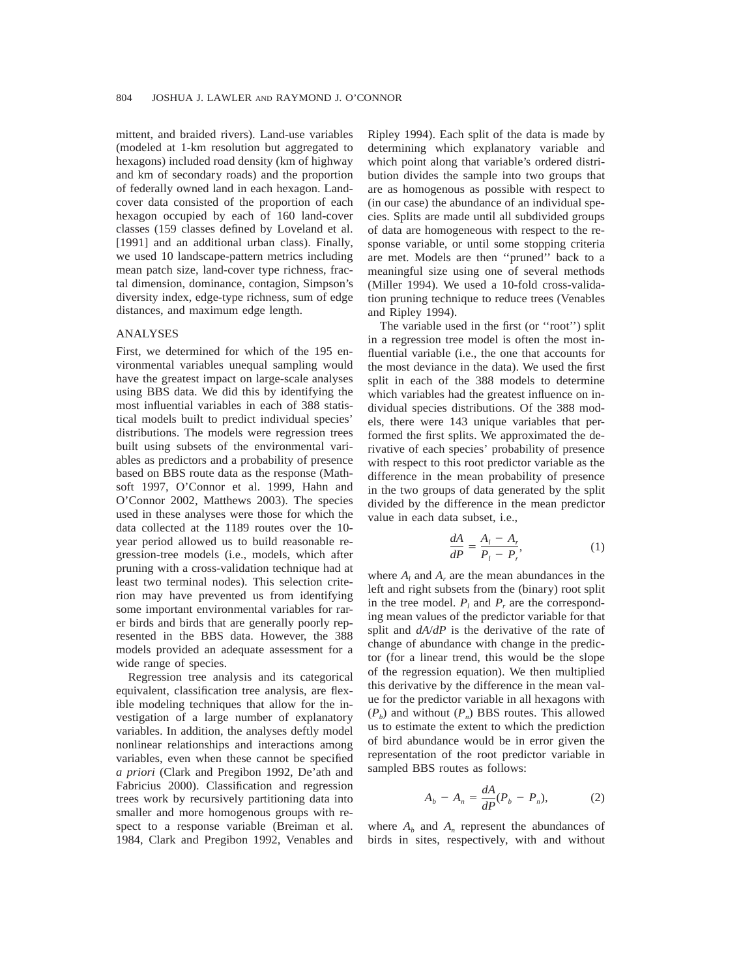mittent, and braided rivers). Land-use variables (modeled at 1-km resolution but aggregated to hexagons) included road density (km of highway and km of secondary roads) and the proportion of federally owned land in each hexagon. Landcover data consisted of the proportion of each hexagon occupied by each of 160 land-cover classes (159 classes defined by Loveland et al. [1991] and an additional urban class). Finally, we used 10 landscape-pattern metrics including mean patch size, land-cover type richness, fractal dimension, dominance, contagion, Simpson's diversity index, edge-type richness, sum of edge distances, and maximum edge length.

#### ANALYSES

First, we determined for which of the 195 environmental variables unequal sampling would have the greatest impact on large-scale analyses using BBS data. We did this by identifying the most influential variables in each of 388 statistical models built to predict individual species' distributions. The models were regression trees built using subsets of the environmental variables as predictors and a probability of presence based on BBS route data as the response (Mathsoft 1997, O'Connor et al. 1999, Hahn and O'Connor 2002, Matthews 2003). The species used in these analyses were those for which the data collected at the 1189 routes over the 10 year period allowed us to build reasonable regression-tree models (i.e., models, which after pruning with a cross-validation technique had at least two terminal nodes). This selection criterion may have prevented us from identifying some important environmental variables for rarer birds and birds that are generally poorly represented in the BBS data. However, the 388 models provided an adequate assessment for a wide range of species.

Regression tree analysis and its categorical equivalent, classification tree analysis, are flexible modeling techniques that allow for the investigation of a large number of explanatory variables. In addition, the analyses deftly model nonlinear relationships and interactions among variables, even when these cannot be specified *a priori* (Clark and Pregibon 1992, De'ath and Fabricius 2000). Classification and regression trees work by recursively partitioning data into smaller and more homogenous groups with respect to a response variable (Breiman et al. 1984, Clark and Pregibon 1992, Venables and Ripley 1994). Each split of the data is made by determining which explanatory variable and which point along that variable's ordered distribution divides the sample into two groups that are as homogenous as possible with respect to (in our case) the abundance of an individual species. Splits are made until all subdivided groups of data are homogeneous with respect to the response variable, or until some stopping criteria are met. Models are then ''pruned'' back to a meaningful size using one of several methods (Miller 1994). We used a 10-fold cross-validation pruning technique to reduce trees (Venables and Ripley 1994).

The variable used in the first (or ''root'') split in a regression tree model is often the most influential variable (i.e., the one that accounts for the most deviance in the data). We used the first split in each of the 388 models to determine which variables had the greatest influence on individual species distributions. Of the 388 models, there were 143 unique variables that performed the first splits. We approximated the derivative of each species' probability of presence with respect to this root predictor variable as the difference in the mean probability of presence in the two groups of data generated by the split divided by the difference in the mean predictor value in each data subset, i.e.,

$$
\frac{dA}{dP} = \frac{A_l - A_r}{P_l - P_r},\tag{1}
$$

where  $A_i$  and  $A_r$  are the mean abundances in the left and right subsets from the (binary) root split in the tree model.  $P_i$  and  $P_r$  are the corresponding mean values of the predictor variable for that split and *dA*/*dP* is the derivative of the rate of change of abundance with change in the predictor (for a linear trend, this would be the slope of the regression equation). We then multiplied this derivative by the difference in the mean value for the predictor variable in all hexagons with  $(P_b)$  and without  $(P_n)$  BBS routes. This allowed us to estimate the extent to which the prediction of bird abundance would be in error given the representation of the root predictor variable in sampled BBS routes as follows:

$$
A_b - A_n = \frac{dA}{dP}(P_b - P_n),
$$
 (2)

where  $A_h$  and  $A_n$  represent the abundances of birds in sites, respectively, with and without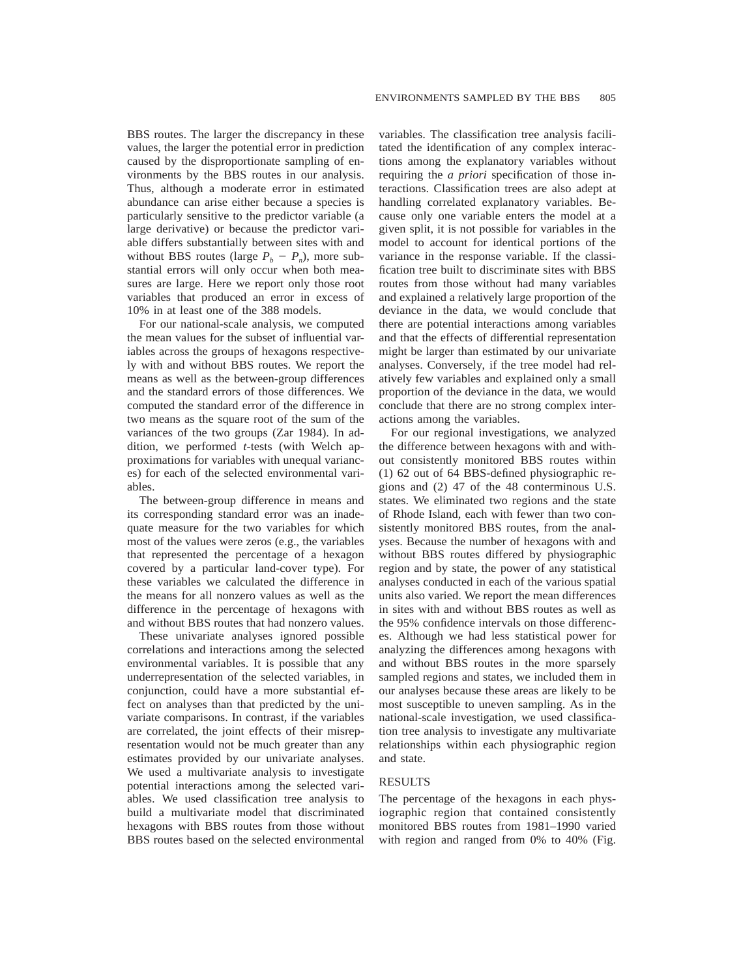BBS routes. The larger the discrepancy in these values, the larger the potential error in prediction caused by the disproportionate sampling of environments by the BBS routes in our analysis. Thus, although a moderate error in estimated abundance can arise either because a species is particularly sensitive to the predictor variable (a large derivative) or because the predictor variable differs substantially between sites with and without BBS routes (large  $P_b - P_n$ ), more substantial errors will only occur when both measures are large. Here we report only those root variables that produced an error in excess of 10% in at least one of the 388 models.

For our national-scale analysis, we computed the mean values for the subset of influential variables across the groups of hexagons respectively with and without BBS routes. We report the means as well as the between-group differences and the standard errors of those differences. We computed the standard error of the difference in two means as the square root of the sum of the variances of the two groups (Zar 1984). In addition, we performed *t*-tests (with Welch approximations for variables with unequal variances) for each of the selected environmental variables.

The between-group difference in means and its corresponding standard error was an inadequate measure for the two variables for which most of the values were zeros (e.g., the variables that represented the percentage of a hexagon covered by a particular land-cover type). For these variables we calculated the difference in the means for all nonzero values as well as the difference in the percentage of hexagons with and without BBS routes that had nonzero values.

These univariate analyses ignored possible correlations and interactions among the selected environmental variables. It is possible that any underrepresentation of the selected variables, in conjunction, could have a more substantial effect on analyses than that predicted by the univariate comparisons. In contrast, if the variables are correlated, the joint effects of their misrepresentation would not be much greater than any estimates provided by our univariate analyses. We used a multivariate analysis to investigate potential interactions among the selected variables. We used classification tree analysis to build a multivariate model that discriminated hexagons with BBS routes from those without BBS routes based on the selected environmental

variables. The classification tree analysis facilitated the identification of any complex interactions among the explanatory variables without requiring the *a priori* specification of those interactions. Classification trees are also adept at handling correlated explanatory variables. Because only one variable enters the model at a given split, it is not possible for variables in the model to account for identical portions of the variance in the response variable. If the classification tree built to discriminate sites with BBS routes from those without had many variables and explained a relatively large proportion of the deviance in the data, we would conclude that there are potential interactions among variables and that the effects of differential representation might be larger than estimated by our univariate analyses. Conversely, if the tree model had relatively few variables and explained only a small proportion of the deviance in the data, we would conclude that there are no strong complex interactions among the variables.

For our regional investigations, we analyzed the difference between hexagons with and without consistently monitored BBS routes within (1) 62 out of 64 BBS-defined physiographic regions and (2) 47 of the 48 conterminous U.S. states. We eliminated two regions and the state of Rhode Island, each with fewer than two consistently monitored BBS routes, from the analyses. Because the number of hexagons with and without BBS routes differed by physiographic region and by state, the power of any statistical analyses conducted in each of the various spatial units also varied. We report the mean differences in sites with and without BBS routes as well as the 95% confidence intervals on those differences. Although we had less statistical power for analyzing the differences among hexagons with and without BBS routes in the more sparsely sampled regions and states, we included them in our analyses because these areas are likely to be most susceptible to uneven sampling. As in the national-scale investigation, we used classification tree analysis to investigate any multivariate relationships within each physiographic region and state.

#### **RESULTS**

The percentage of the hexagons in each physiographic region that contained consistently monitored BBS routes from 1981–1990 varied with region and ranged from 0% to 40% (Fig.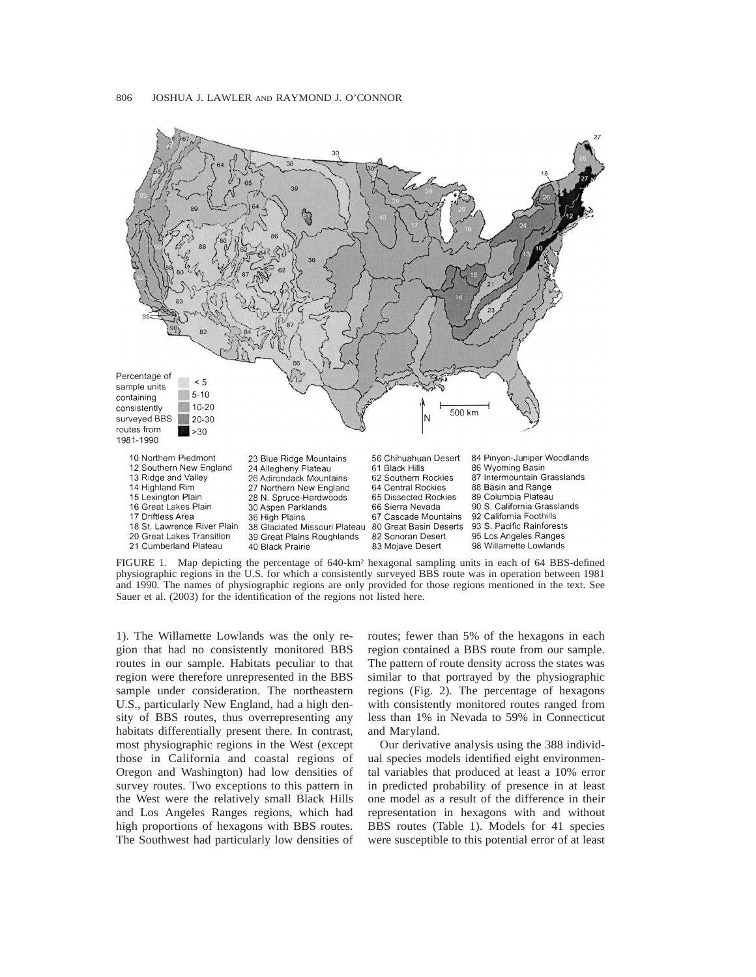

FIGURE 1. Map depicting the percentage of 640-km<sup>2</sup> hexagonal sampling units in each of 64 BBS-defined physiographic regions in the U.S. for which a consistently surveyed BBS route was in operation between 1981 and 1990. The names of physiographic regions are only provided for those regions mentioned in the text. See Sauer et al. (2003) for the identification of the regions not listed here.

1). The Willamette Lowlands was the only region that had no consistently monitored BBS routes in our sample. Habitats peculiar to that region were therefore unrepresented in the BBS sample under consideration. The northeastern U.S., particularly New England, had a high density of BBS routes, thus overrepresenting any habitats differentially present there. In contrast, most physiographic regions in the West (except those in California and coastal regions of Oregon and Washington) had low densities of survey routes. Two exceptions to this pattern in the West were the relatively small Black Hills and Los Angeles Ranges regions, which had high proportions of hexagons with BBS routes. The Southwest had particularly low densities of routes; fewer than 5% of the hexagons in each region contained a BBS route from our sample. The pattern of route density across the states was similar to that portrayed by the physiographic regions (Fig. 2). The percentage of hexagons with consistently monitored routes ranged from less than 1% in Nevada to 59% in Connecticut and Maryland.

Our derivative analysis using the 388 individual species models identified eight environmental variables that produced at least a 10% error in predicted probability of presence in at least one model as a result of the difference in their representation in hexagons with and without BBS routes (Table 1). Models for 41 species were susceptible to this potential error of at least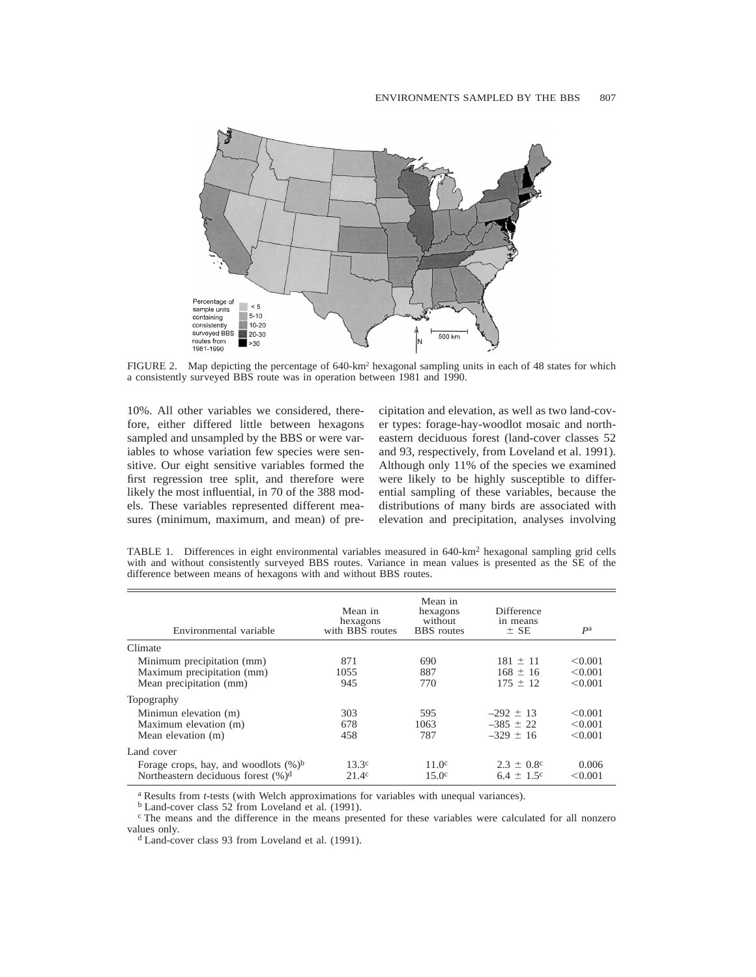

FIGURE 2. Map depicting the percentage of 640-km<sup>2</sup> hexagonal sampling units in each of 48 states for which a consistently surveyed BBS route was in operation between 1981 and 1990.

10%. All other variables we considered, therefore, either differed little between hexagons sampled and unsampled by the BBS or were variables to whose variation few species were sensitive. Our eight sensitive variables formed the first regression tree split, and therefore were likely the most influential, in 70 of the 388 models. These variables represented different measures (minimum, maximum, and mean) of precipitation and elevation, as well as two land-cover types: forage-hay-woodlot mosaic and northeastern deciduous forest (land-cover classes 52 and 93, respectively, from Loveland et al. 1991). Although only 11% of the species we examined were likely to be highly susceptible to differential sampling of these variables, because the distributions of many birds are associated with elevation and precipitation, analyses involving

TABLE 1. Differences in eight environmental variables measured in 640-km2 hexagonal sampling grid cells with and without consistently surveyed BBS routes. Variance in mean values is presented as the SE of the difference between means of hexagons with and without BBS routes.

| Environmental variable                   | Mean in<br>hexagons<br>with BBS routes | Mean in<br>hexagons<br>without<br><b>BBS</b> routes | Difference<br>in means<br>$\pm$ SE | $P^{\rm a}$ |
|------------------------------------------|----------------------------------------|-----------------------------------------------------|------------------------------------|-------------|
| Climate                                  |                                        |                                                     |                                    |             |
| Minimum precipitation (mm)               | 871                                    | 690                                                 | $181 \pm 11$                       | < 0.001     |
| Maximum precipitation (mm)               | 1055                                   | 887                                                 | $168 \pm 16$                       | < 0.001     |
| Mean precipitation (mm)                  | 945                                    | 770                                                 | $175 \pm 12$                       | < 0.001     |
| Topography                               |                                        |                                                     |                                    |             |
| Minimun elevation (m)                    | 303                                    | 595                                                 | $-292 \pm 13$                      | < 0.001     |
| Maximum elevation (m)                    | 678                                    | 1063                                                | $-385 \pm 22$                      | < 0.001     |
| Mean elevation (m)                       | 458                                    | 787                                                 | $-329 \pm 16$                      | < 0.001     |
| Land cover                               |                                        |                                                     |                                    |             |
| Forage crops, hay, and woodlots $(\%)^b$ | 13.3c                                  | 11.0 <sup>c</sup>                                   | $2.3 \pm 0.8^{\circ}$              | 0.006       |
| Northeastern deciduous forest $(\% )d$   | 21.4c                                  | 15.0c                                               | $6.4 \pm 1.5^{\circ}$              | < 0.001     |

<sup>a</sup> Results from *<sup>t</sup>*-tests (with Welch approximations for variables with unequal variances). <sup>b</sup> Land-cover class 52 from Loveland et al. (1991).

<sup>c</sup> The means and the difference in the means presented for these variables were calculated for all nonzero values only.

 $\rm d$  Land-cover class 93 from Loveland et al. (1991).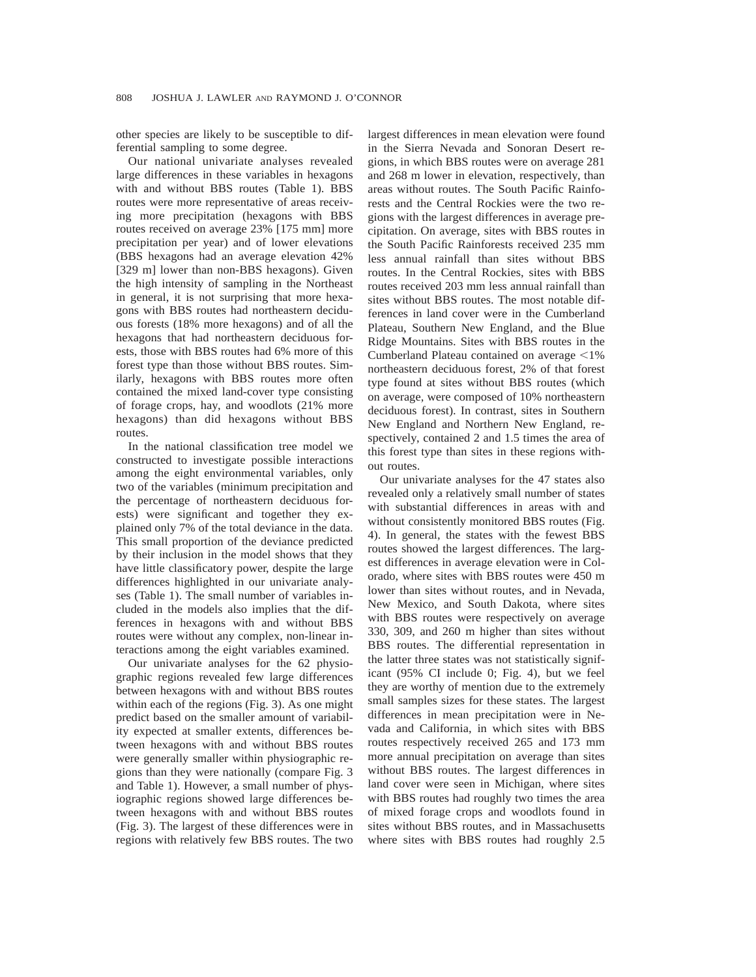other species are likely to be susceptible to differential sampling to some degree.

Our national univariate analyses revealed large differences in these variables in hexagons with and without BBS routes (Table 1). BBS routes were more representative of areas receiving more precipitation (hexagons with BBS routes received on average 23% [175 mm] more precipitation per year) and of lower elevations (BBS hexagons had an average elevation 42% [329 m] lower than non-BBS hexagons). Given the high intensity of sampling in the Northeast in general, it is not surprising that more hexagons with BBS routes had northeastern deciduous forests (18% more hexagons) and of all the hexagons that had northeastern deciduous forests, those with BBS routes had 6% more of this forest type than those without BBS routes. Similarly, hexagons with BBS routes more often contained the mixed land-cover type consisting of forage crops, hay, and woodlots (21% more hexagons) than did hexagons without BBS routes.

In the national classification tree model we constructed to investigate possible interactions among the eight environmental variables, only two of the variables (minimum precipitation and the percentage of northeastern deciduous forests) were significant and together they explained only 7% of the total deviance in the data. This small proportion of the deviance predicted by their inclusion in the model shows that they have little classificatory power, despite the large differences highlighted in our univariate analyses (Table 1). The small number of variables included in the models also implies that the differences in hexagons with and without BBS routes were without any complex, non-linear interactions among the eight variables examined.

Our univariate analyses for the 62 physiographic regions revealed few large differences between hexagons with and without BBS routes within each of the regions (Fig. 3). As one might predict based on the smaller amount of variability expected at smaller extents, differences between hexagons with and without BBS routes were generally smaller within physiographic regions than they were nationally (compare Fig. 3 and Table 1). However, a small number of physiographic regions showed large differences between hexagons with and without BBS routes (Fig. 3). The largest of these differences were in regions with relatively few BBS routes. The two largest differences in mean elevation were found in the Sierra Nevada and Sonoran Desert regions, in which BBS routes were on average 281 and 268 m lower in elevation, respectively, than areas without routes. The South Pacific Rainforests and the Central Rockies were the two regions with the largest differences in average precipitation. On average, sites with BBS routes in the South Pacific Rainforests received 235 mm less annual rainfall than sites without BBS routes. In the Central Rockies, sites with BBS routes received 203 mm less annual rainfall than sites without BBS routes. The most notable differences in land cover were in the Cumberland Plateau, Southern New England, and the Blue Ridge Mountains. Sites with BBS routes in the Cumberland Plateau contained on average  $\leq 1\%$ northeastern deciduous forest, 2% of that forest type found at sites without BBS routes (which on average, were composed of 10% northeastern deciduous forest). In contrast, sites in Southern New England and Northern New England, respectively, contained 2 and 1.5 times the area of this forest type than sites in these regions without routes.

Our univariate analyses for the 47 states also revealed only a relatively small number of states with substantial differences in areas with and without consistently monitored BBS routes (Fig. 4). In general, the states with the fewest BBS routes showed the largest differences. The largest differences in average elevation were in Colorado, where sites with BBS routes were 450 m lower than sites without routes, and in Nevada, New Mexico, and South Dakota, where sites with BBS routes were respectively on average 330, 309, and 260 m higher than sites without BBS routes. The differential representation in the latter three states was not statistically significant (95% CI include 0; Fig. 4), but we feel they are worthy of mention due to the extremely small samples sizes for these states. The largest differences in mean precipitation were in Nevada and California, in which sites with BBS routes respectively received 265 and 173 mm more annual precipitation on average than sites without BBS routes. The largest differences in land cover were seen in Michigan, where sites with BBS routes had roughly two times the area of mixed forage crops and woodlots found in sites without BBS routes, and in Massachusetts where sites with BBS routes had roughly 2.5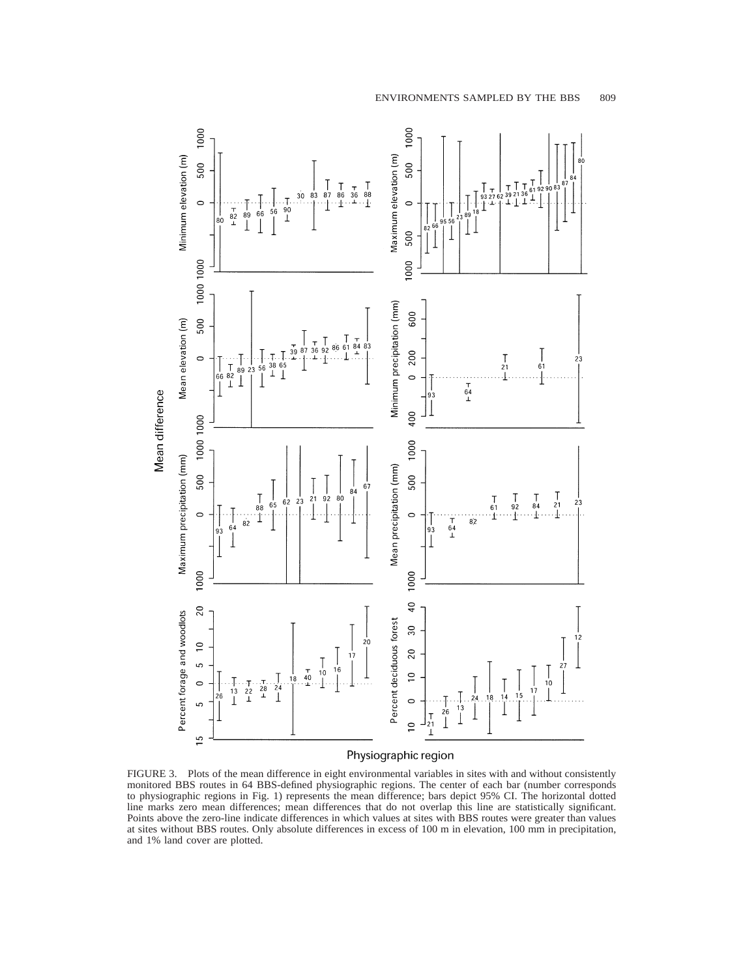

#### Physiographic region

FIGURE 3. Plots of the mean difference in eight environmental variables in sites with and without consistently monitored BBS routes in 64 BBS-defined physiographic regions. The center of each bar (number corresponds to physiographic regions in Fig. 1) represents the mean difference; bars depict 95% CI. The horizontal dotted line marks zero mean differences; mean differences that do not overlap this line are statistically significant. Points above the zero-line indicate differences in which values at sites with BBS routes were greater than values at sites without BBS routes. Only absolute differences in excess of 100 m in elevation, 100 mm in precipitation, and 1% land cover are plotted.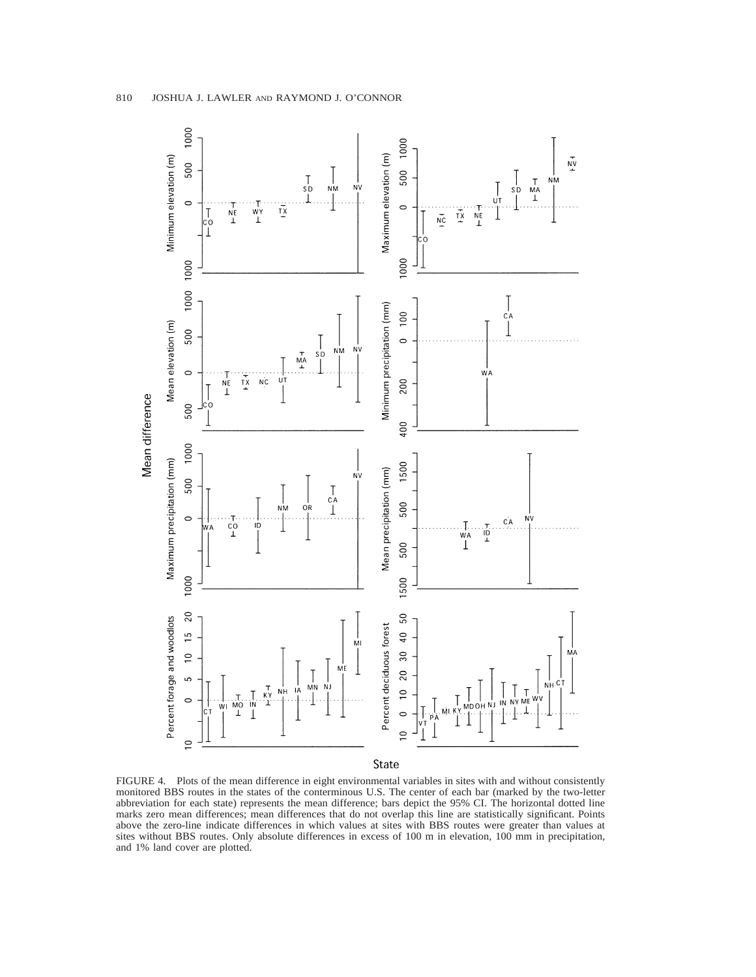

State

FIGURE 4. Plots of the mean difference in eight environmental variables in sites with and without consistently monitored BBS routes in the states of the conterminous U.S. The center of each bar (marked by the two-letter abbreviation for each state) represents the mean difference; bars depict the 95% CI. The horizontal dotted line marks zero mean differences; mean differences that do not overlap this line are statistically significant. Points above the zero-line indicate differences in which values at sites with BBS routes were greater than values at sites without BBS routes. Only absolute differences in excess of 100 m in elevation, 100 mm in precipitation, and 1% land cover are plotted.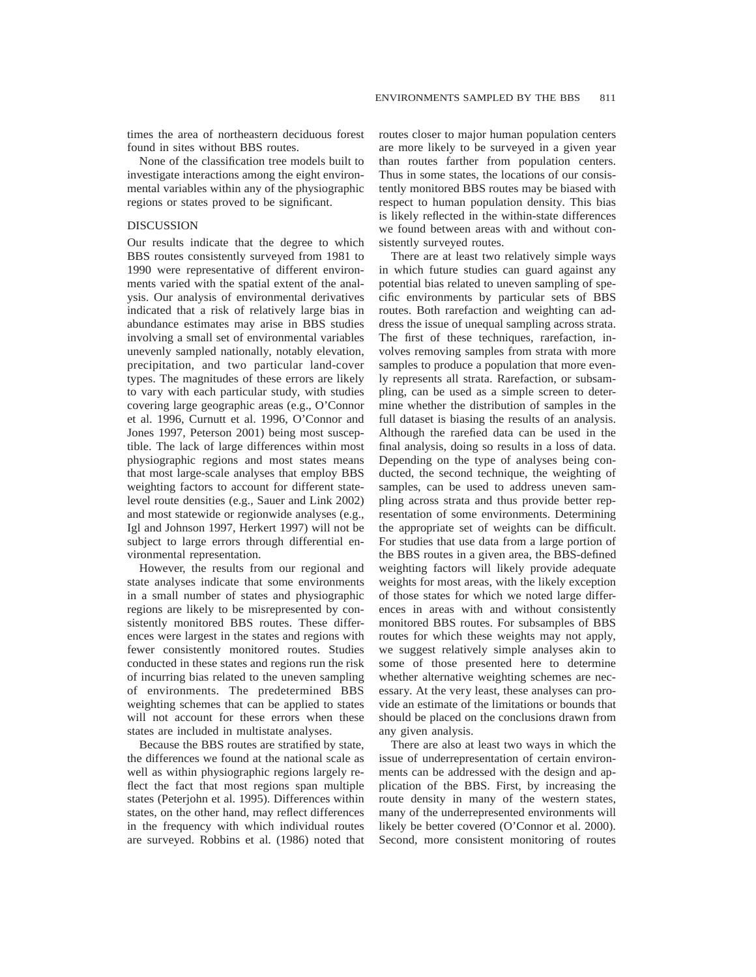times the area of northeastern deciduous forest found in sites without BBS routes.

None of the classification tree models built to investigate interactions among the eight environmental variables within any of the physiographic regions or states proved to be significant.

#### DISCUSSION

Our results indicate that the degree to which BBS routes consistently surveyed from 1981 to 1990 were representative of different environments varied with the spatial extent of the analysis. Our analysis of environmental derivatives indicated that a risk of relatively large bias in abundance estimates may arise in BBS studies involving a small set of environmental variables unevenly sampled nationally, notably elevation, precipitation, and two particular land-cover types. The magnitudes of these errors are likely to vary with each particular study, with studies covering large geographic areas (e.g., O'Connor et al. 1996, Curnutt et al. 1996, O'Connor and Jones 1997, Peterson 2001) being most susceptible. The lack of large differences within most physiographic regions and most states means that most large-scale analyses that employ BBS weighting factors to account for different statelevel route densities (e.g., Sauer and Link 2002) and most statewide or regionwide analyses (e.g., Igl and Johnson 1997, Herkert 1997) will not be subject to large errors through differential environmental representation.

However, the results from our regional and state analyses indicate that some environments in a small number of states and physiographic regions are likely to be misrepresented by consistently monitored BBS routes. These differences were largest in the states and regions with fewer consistently monitored routes. Studies conducted in these states and regions run the risk of incurring bias related to the uneven sampling of environments. The predetermined BBS weighting schemes that can be applied to states will not account for these errors when these states are included in multistate analyses.

Because the BBS routes are stratified by state, the differences we found at the national scale as well as within physiographic regions largely reflect the fact that most regions span multiple states (Peterjohn et al. 1995). Differences within states, on the other hand, may reflect differences in the frequency with which individual routes are surveyed. Robbins et al. (1986) noted that routes closer to major human population centers are more likely to be surveyed in a given year than routes farther from population centers. Thus in some states, the locations of our consistently monitored BBS routes may be biased with respect to human population density. This bias is likely reflected in the within-state differences we found between areas with and without consistently surveyed routes.

There are at least two relatively simple ways in which future studies can guard against any potential bias related to uneven sampling of specific environments by particular sets of BBS routes. Both rarefaction and weighting can address the issue of unequal sampling across strata. The first of these techniques, rarefaction, involves removing samples from strata with more samples to produce a population that more evenly represents all strata. Rarefaction, or subsampling, can be used as a simple screen to determine whether the distribution of samples in the full dataset is biasing the results of an analysis. Although the rarefied data can be used in the final analysis, doing so results in a loss of data. Depending on the type of analyses being conducted, the second technique, the weighting of samples, can be used to address uneven sampling across strata and thus provide better representation of some environments. Determining the appropriate set of weights can be difficult. For studies that use data from a large portion of the BBS routes in a given area, the BBS-defined weighting factors will likely provide adequate weights for most areas, with the likely exception of those states for which we noted large differences in areas with and without consistently monitored BBS routes. For subsamples of BBS routes for which these weights may not apply, we suggest relatively simple analyses akin to some of those presented here to determine whether alternative weighting schemes are necessary. At the very least, these analyses can provide an estimate of the limitations or bounds that should be placed on the conclusions drawn from any given analysis.

There are also at least two ways in which the issue of underrepresentation of certain environments can be addressed with the design and application of the BBS. First, by increasing the route density in many of the western states, many of the underrepresented environments will likely be better covered (O'Connor et al. 2000). Second, more consistent monitoring of routes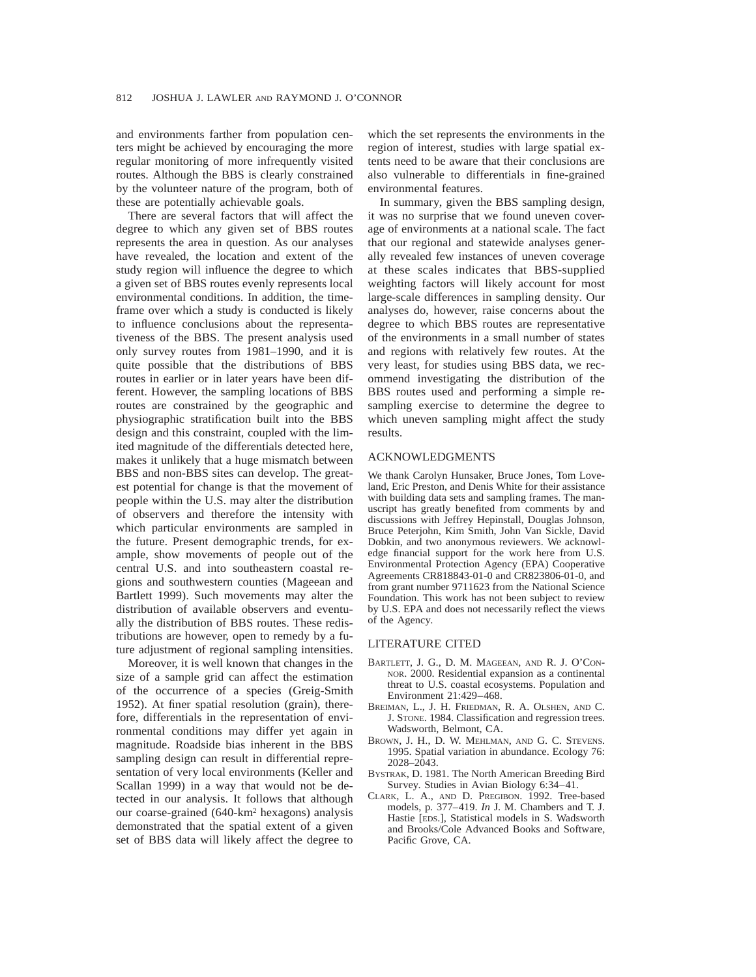and environments farther from population centers might be achieved by encouraging the more regular monitoring of more infrequently visited routes. Although the BBS is clearly constrained by the volunteer nature of the program, both of these are potentially achievable goals.

There are several factors that will affect the degree to which any given set of BBS routes represents the area in question. As our analyses have revealed, the location and extent of the study region will influence the degree to which a given set of BBS routes evenly represents local environmental conditions. In addition, the timeframe over which a study is conducted is likely to influence conclusions about the representativeness of the BBS. The present analysis used only survey routes from 1981–1990, and it is quite possible that the distributions of BBS routes in earlier or in later years have been different. However, the sampling locations of BBS routes are constrained by the geographic and physiographic stratification built into the BBS design and this constraint, coupled with the limited magnitude of the differentials detected here, makes it unlikely that a huge mismatch between BBS and non-BBS sites can develop. The greatest potential for change is that the movement of people within the U.S. may alter the distribution of observers and therefore the intensity with which particular environments are sampled in the future. Present demographic trends, for example, show movements of people out of the central U.S. and into southeastern coastal regions and southwestern counties (Mageean and Bartlett 1999). Such movements may alter the distribution of available observers and eventually the distribution of BBS routes. These redistributions are however, open to remedy by a future adjustment of regional sampling intensities.

Moreover, it is well known that changes in the size of a sample grid can affect the estimation of the occurrence of a species (Greig-Smith 1952). At finer spatial resolution (grain), therefore, differentials in the representation of environmental conditions may differ yet again in magnitude. Roadside bias inherent in the BBS sampling design can result in differential representation of very local environments (Keller and Scallan 1999) in a way that would not be detected in our analysis. It follows that although our coarse-grained (640-km2 hexagons) analysis demonstrated that the spatial extent of a given set of BBS data will likely affect the degree to

which the set represents the environments in the region of interest, studies with large spatial extents need to be aware that their conclusions are also vulnerable to differentials in fine-grained environmental features.

In summary, given the BBS sampling design, it was no surprise that we found uneven coverage of environments at a national scale. The fact that our regional and statewide analyses generally revealed few instances of uneven coverage at these scales indicates that BBS-supplied weighting factors will likely account for most large-scale differences in sampling density. Our analyses do, however, raise concerns about the degree to which BBS routes are representative of the environments in a small number of states and regions with relatively few routes. At the very least, for studies using BBS data, we recommend investigating the distribution of the BBS routes used and performing a simple resampling exercise to determine the degree to which uneven sampling might affect the study results.

#### ACKNOWLEDGMENTS

We thank Carolyn Hunsaker, Bruce Jones, Tom Loveland, Eric Preston, and Denis White for their assistance with building data sets and sampling frames. The manuscript has greatly benefited from comments by and discussions with Jeffrey Hepinstall, Douglas Johnson, Bruce Peterjohn, Kim Smith, John Van Sickle, David Dobkin, and two anonymous reviewers. We acknowledge financial support for the work here from U.S. Environmental Protection Agency (EPA) Cooperative Agreements CR818843-01-0 and CR823806-01-0, and from grant number 9711623 from the National Science Foundation. This work has not been subject to review by U.S. EPA and does not necessarily reflect the views of the Agency.

## LITERATURE CITED

- BARTLETT, J. G., D. M. MAGEEAN, AND R. J. O'CON-NOR. 2000. Residential expansion as a continental threat to U.S. coastal ecosystems. Population and Environment 21:429–468.
- BREIMAN, L., J. H. FRIEDMAN, R. A. OLSHEN, AND C. J. STONE. 1984. Classification and regression trees. Wadsworth, Belmont, CA.
- BROWN, J. H., D. W. MEHLMAN, AND G. C. STEVENS. 1995. Spatial variation in abundance. Ecology 76: 2028–2043.
- BYSTRAK, D. 1981. The North American Breeding Bird Survey. Studies in Avian Biology 6:34–41.
- CLARK, L. A., AND D. PREGIBON. 1992. Tree-based models, p. 377–419. *In* J. M. Chambers and T. J. Hastie [EDS.], Statistical models in S. Wadsworth and Brooks/Cole Advanced Books and Software, Pacific Grove, CA.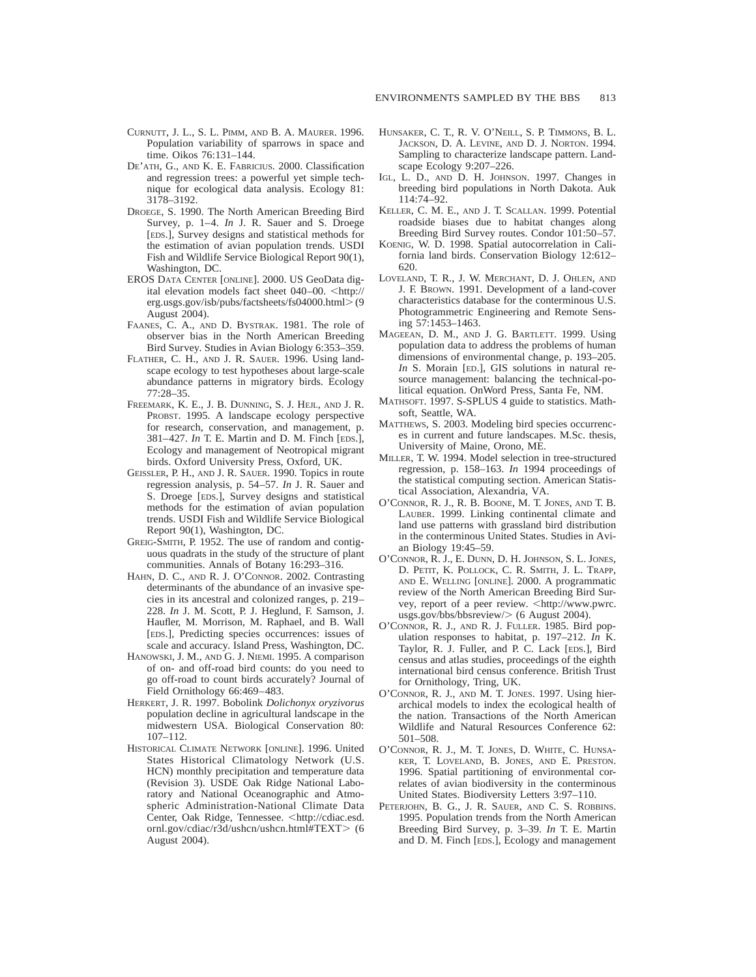- CURNUTT, J. L., S. L. PIMM, AND B. A. MAURER. 1996. Population variability of sparrows in space and time. Oikos 76:131–144.
- DE'ATH, G., AND K. E. FABRICIUS. 2000. Classification and regression trees: a powerful yet simple technique for ecological data analysis. Ecology 81: 3178–3192.
- DROEGE, S. 1990. The North American Breeding Bird Survey, p. 1–4. *In* J. R. Sauer and S. Droege [EDS.], Survey designs and statistical methods for the estimation of avian population trends. USDI Fish and Wildlife Service Biological Report 90(1), Washington, DC.
- EROS DATA CENTER [ONLINE]. 2000. US GeoData digital elevation models fact sheet  $040-00$ . <http:// erg.usgs.gov/isb/pubs/factsheets/fs04000.html>(9 August 2004).
- FAANES, C. A., AND D. BYSTRAK. 1981. The role of observer bias in the North American Breeding Bird Survey. Studies in Avian Biology 6:353–359.
- FLATHER, C. H., AND J. R. SAUER. 1996. Using landscape ecology to test hypotheses about large-scale abundance patterns in migratory birds. Ecology 77:28–35.
- FREEMARK, K. E., J. B. DUNNING, S. J. HEJL, AND J. R. PROBST. 1995. A landscape ecology perspective for research, conservation, and management, p. 381–427. *In* T. E. Martin and D. M. Finch [EDS.], Ecology and management of Neotropical migrant birds. Oxford University Press, Oxford, UK.
- GEISSLER, P. H., AND J. R. SAUER. 1990. Topics in route regression analysis, p. 54–57. *In* J. R. Sauer and S. Droege [EDS.], Survey designs and statistical methods for the estimation of avian population trends. USDI Fish and Wildlife Service Biological Report 90(1), Washington, DC.
- GREIG-SMITH, P. 1952. The use of random and contiguous quadrats in the study of the structure of plant communities. Annals of Botany 16:293–316.
- HAHN, D. C., AND R. J. O'CONNOR. 2002. Contrasting determinants of the abundance of an invasive species in its ancestral and colonized ranges, p. 219– 228. *In* J. M. Scott, P. J. Heglund, F. Samson, J. Haufler, M. Morrison, M. Raphael, and B. Wall [EDS.], Predicting species occurrences: issues of scale and accuracy. Island Press, Washington, DC.
- HANOWSKI, J. M., AND G. J. NIEMI. 1995. A comparison of on- and off-road bird counts: do you need to go off-road to count birds accurately? Journal of Field Ornithology 66:469–483.
- HERKERT, J. R. 1997. Bobolink *Dolichonyx oryzivorus* population decline in agricultural landscape in the midwestern USA. Biological Conservation 80: 107–112.
- HISTORICAL CLIMATE NETWORK [ONLINE]. 1996. United States Historical Climatology Network (U.S. HCN) monthly precipitation and temperature data (Revision 3). USDE Oak Ridge National Laboratory and National Oceanographic and Atmospheric Administration-National Climate Data Center, Oak Ridge, Tennessee. <http://cdiac.esd. ornl.gov/cdiac/r3d/ushcn/ushcn.html#TEXT> (6 August 2004).
- HUNSAKER, C. T., R. V. O'NEILL, S. P. TIMMONS, B. L. JACKSON, D. A. LEVINE, AND D. J. NORTON. 1994. Sampling to characterize landscape pattern. Landscape Ecology 9:207–226.
- IGL, L. D., AND D. H. JOHNSON. 1997. Changes in breeding bird populations in North Dakota. Auk 114:74–92.
- KELLER, C. M. E., AND J. T. SCALLAN. 1999. Potential roadside biases due to habitat changes along Breeding Bird Survey routes. Condor 101:50–57.
- KOENIG, W. D. 1998. Spatial autocorrelation in California land birds. Conservation Biology 12:612– 620.
- LOVELAND, T. R., J. W. MERCHANT, D. J. OHLEN, AND J. F. BROWN. 1991. Development of a land-cover characteristics database for the conterminous U.S. Photogrammetric Engineering and Remote Sensing 57:1453–1463.
- MAGEEAN, D. M., AND J. G. BARTLETT. 1999. Using population data to address the problems of human dimensions of environmental change, p. 193–205. *In* S. Morain [ED.], GIS solutions in natural resource management: balancing the technical-political equation. OnWord Press, Santa Fe, NM.
- MATHSOFT. 1997. S-SPLUS 4 guide to statistics. Mathsoft, Seattle, WA.
- MATTHEWS, S. 2003. Modeling bird species occurrences in current and future landscapes. M.Sc. thesis, University of Maine, Orono, ME.
- MILLER, T. W. 1994. Model selection in tree-structured regression, p. 158–163. *In* 1994 proceedings of the statistical computing section. American Statistical Association, Alexandria, VA.
- O'CONNOR, R. J., R. B. BOONE, M. T. JONES, AND T. B. LAUBER. 1999. Linking continental climate and land use patterns with grassland bird distribution in the conterminous United States. Studies in Avian Biology 19:45–59.
- O'CONNOR, R. J., E. DUNN, D. H. JOHNSON, S. L. JONES, D. PETIT, K. POLLOCK, C. R. SMITH, J. L. TRAPP, AND E. WELLING [ONLINE]. 2000. A programmatic review of the North American Breeding Bird Survey, report of a peer review.  $\langle \text{http://www.pwrc.}$ usgs.gov/bbs/bbsreview/> (6 August 2004).
- O'CONNOR, R. J., AND R. J. FULLER. 1985. Bird population responses to habitat, p. 197–212. *In* K. Taylor, R. J. Fuller, and P. C. Lack [EDS.], Bird census and atlas studies, proceedings of the eighth international bird census conference. British Trust for Ornithology, Tring, UK.
- O'CONNOR, R. J., AND M. T. JONES. 1997. Using hierarchical models to index the ecological health of the nation. Transactions of the North American Wildlife and Natural Resources Conference 62: 501–508.
- O'CONNOR, R. J., M. T. JONES, D. WHITE, C. HUNSA-KER, T. LOVELAND, B. JONES, AND E. PRESTON. 1996. Spatial partitioning of environmental correlates of avian biodiversity in the conterminous United States. Biodiversity Letters 3:97–110.
- PETERJOHN, B. G., J. R. SAUER, AND C. S. ROBBINS. 1995. Population trends from the North American Breeding Bird Survey, p. 3–39. *In* T. E. Martin and D. M. Finch [EDS.], Ecology and management